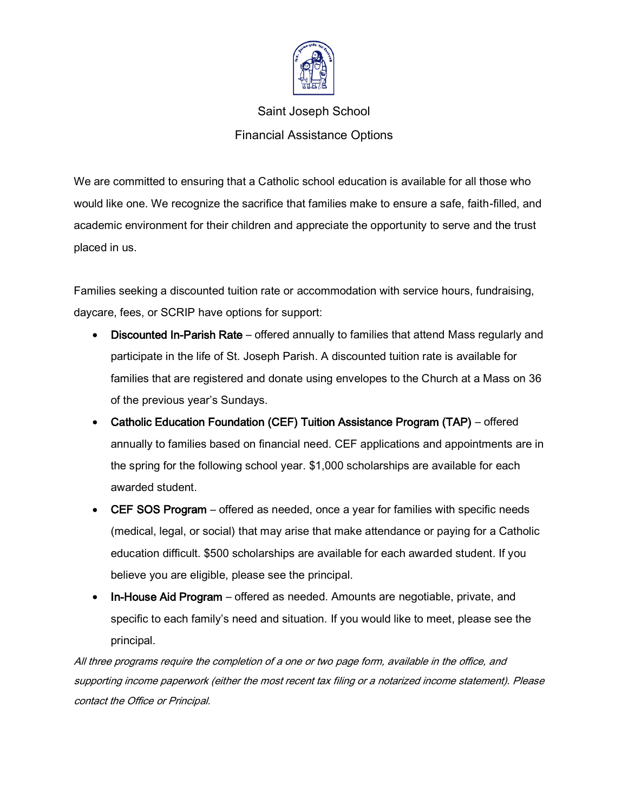

## Saint Joseph School Financial Assistance Options

We are committed to ensuring that a Catholic school education is available for all those who would like one. We recognize the sacrifice that families make to ensure a safe, faith-filled, and academic environment for their children and appreciate the opportunity to serve and the trust placed in us.

Families seeking a discounted tuition rate or accommodation with service hours, fundraising, daycare, fees, or SCRIP have options for support:

- Discounted In-Parish Rate offered annually to families that attend Mass regularly and participate in the life of St. Joseph Parish. A discounted tuition rate is available for families that are registered and donate using envelopes to the Church at a Mass on 36 of the previous year's Sundays.
- Catholic Education Foundation (CEF) Tuition Assistance Program (TAP) offered annually to families based on financial need. CEF applications and appointments are in the spring for the following school year. \$1,000 scholarships are available for each awarded student.
- CEF SOS Program offered as needed, once a year for families with specific needs (medical, legal, or social) that may arise that make attendance or paying for a Catholic education difficult. \$500 scholarships are available for each awarded student. If you believe you are eligible, please see the principal.
- In-House Aid Program offered as needed. Amounts are negotiable, private, and specific to each family's need and situation. If you would like to meet, please see the principal.

All three programs require the completion of a one or two page form, available in the office, and supporting income paperwork (either the most recent tax filing or a notarized income statement). Please contact the Office or Principal.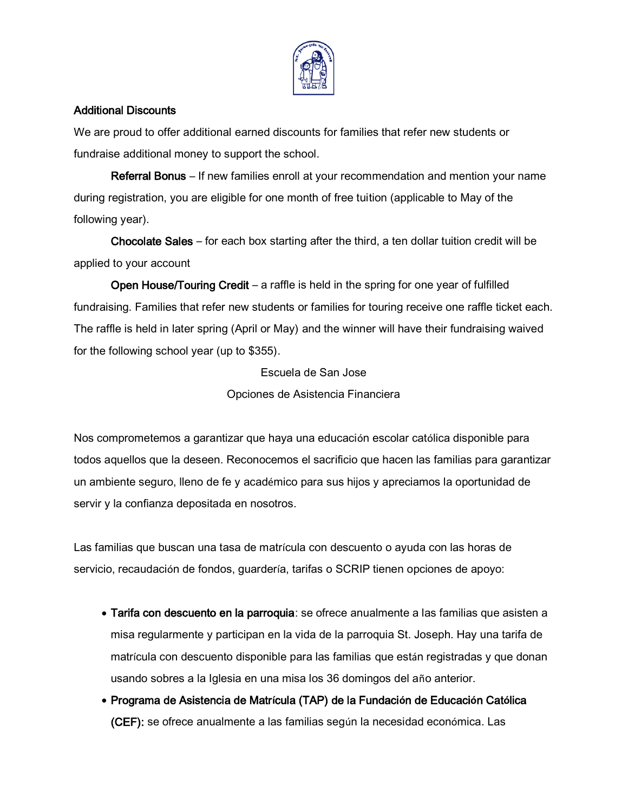

## Additional Discounts

We are proud to offer additional earned discounts for families that refer new students or fundraise additional money to support the school.

Referral Bonus – If new families enroll at your recommendation and mention your name during registration, you are eligible for one month of free tuition (applicable to May of the following year).

Chocolate Sales – for each box starting after the third, a ten dollar tuition credit will be applied to your account

Open House/Touring Credit – a raffle is held in the spring for one year of fulfilled fundraising. Families that refer new students or families for touring receive one raffle ticket each. The raffle is held in later spring (April or May) and the winner will have their fundraising waived for the following school year (up to \$355).

> Escuela de San Jose Opciones de Asistencia Financiera

Nos comprometemos a garantizar que haya una educación escolar católica disponible para todos aquellos que la deseen. Reconocemos el sacrificio que hacen las familias para garantizar un ambiente seguro, lleno de fe y académico para sus hijos y apreciamos la oportunidad de servir y la confianza depositada en nosotros.

Las familias que buscan una tasa de matrícula con descuento o ayuda con las horas de servicio, recaudación de fondos, guardería, tarifas o SCRIP tienen opciones de apoyo:

- Tarifa con descuento en la parroquia: se ofrece anualmente a las familias que asisten a misa regularmente y participan en la vida de la parroquia St. Joseph. Hay una tarifa de matrícula con descuento disponible para las familias que están registradas y que donan usando sobres a la Iglesia en una misa los 36 domingos del año anterior.
- Programa de Asistencia de Matr**í**cula (TAP) de la Fundaci**ó**n de Educaci**ó**n Cat**ó**lica (CEF): se ofrece anualmente a las familias según la necesidad económica. Las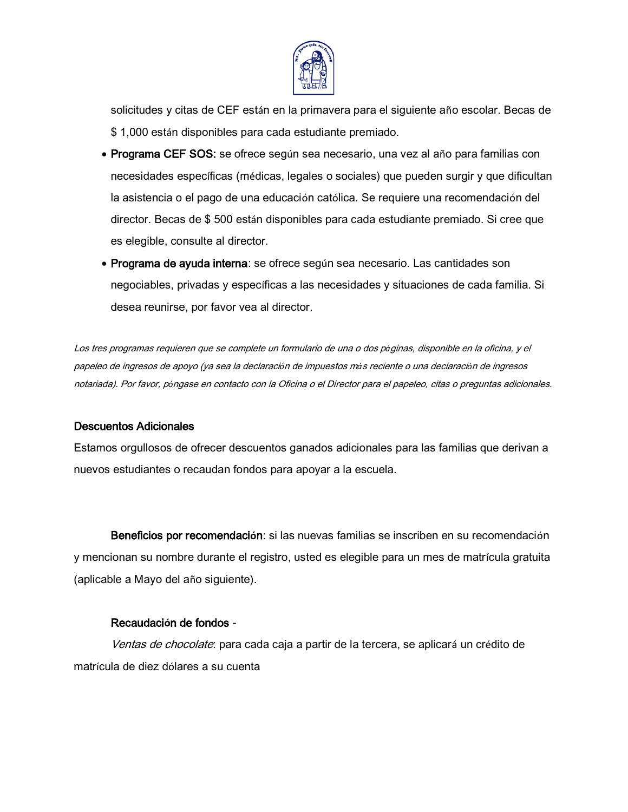

solicitudes y citas de CEF están en la primavera para el siguiente año escolar. Becas de \$ 1,000 están disponibles para cada estudiante premiado.

- Programa CEF SOS: se ofrece según sea necesario, una vez al año para familias con necesidades específicas (médicas, legales o sociales) que pueden surgir y que dificultan la asistencia o el pago de una educación católica. Se requiere una recomendación del director. Becas de \$ 500 están disponibles para cada estudiante premiado. Si cree que es elegible, consulte al director.
- Programa de ayuda interna: se ofrece según sea necesario. Las cantidades son negociables, privadas y específicas a las necesidades y situaciones de cada familia. Si desea reunirse, por favor vea al director.

Los tres programas requieren que se complete un formulario de una o dos p*á*ginas, disponible en la oficina, y el papeleo de ingresos de apoyo (ya sea la declaraci*ó*n de impuestos m*á*s reciente o una declaraci*ó*n de ingresos notariada). Por favor, p*ó*ngase en contacto con la Oficina o el Director para el papeleo, citas o preguntas adicionales.

## Descuentos Adicionales

Estamos orgullosos de ofrecer descuentos ganados adicionales para las familias que derivan a nuevos estudiantes o recaudan fondos para apoyar a la escuela.

Beneficios por recomendaci**ó**n: si las nuevas familias se inscriben en su recomendación y mencionan su nombre durante el registro, usted es elegible para un mes de matrícula gratuita (aplicable a Mayo del año siguiente).

## Recaudaci**ó**n de fondos -

Ventas de chocolate: para cada caja a partir de la tercera, se aplicará un crédito de matrícula de diez dólares a su cuenta